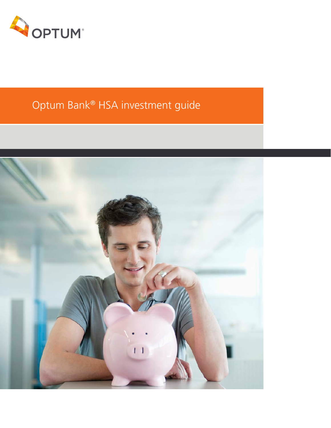

# Optum Bank® HSA investment guide

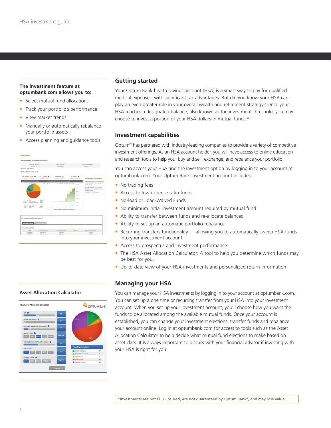## **The investment feature at optumbank.com allows you to:**

- Select mutual fund allocations
- Track your portfolio's performance
- View market trends
- Manually or automatically rebalance your portfolio assets
- Access planning and guidance tools

| Dashboard                                                                                                                                                                                            |                                                                                                |                                                                                                |                                                     |                                                                                                                         |
|------------------------------------------------------------------------------------------------------------------------------------------------------------------------------------------------------|------------------------------------------------------------------------------------------------|------------------------------------------------------------------------------------------------|-----------------------------------------------------|-------------------------------------------------------------------------------------------------------------------------|
| My Investment Appoint at a Glance II                                                                                                                                                                 |                                                                                                |                                                                                                |                                                     |                                                                                                                         |
| Take Hita Balance<br>\$12,718.48<br>Marketin as of Philadelphia -                                                                                                                                    |                                                                                                | Cash Ballysia"<br>\$31,845.04                                                                  |                                                     | <b>Inseglieant Batance</b><br>31,074.64                                                                                 |
| My Fund Performance III                                                                                                                                                                              |                                                                                                |                                                                                                |                                                     |                                                                                                                         |
| Last Quarter: 8.22% +<br>continued installation                                                                                                                                                      | YTD: GAPS<br>parents in assets                                                                 | One Year nite<br><b>A GAMES ASSOCIATE</b>                                                      | Al: 7.85% 4<br><b>ATABASTA - GIANGERS</b>           | <b>Investment Quick Links</b>                                                                                           |
| ALLOCATION BY ASSET CLASS<br><b>WITH BERTH</b>                                                                                                                                                       | $\overline{1}$<br>ъ                                                                            | NET WHEN WENT II VS. MANUF VALUE<br>Parch Miller J.A. LTDSDLY W. K-Tuner                       | $\sim$ 100                                          | Make adjustments to your investment<br>account by chassing the appropriate<br>maker lating                              |
|                                                                                                                                                                                                      |                                                                                                |                                                                                                | 9.76<br>41,000<br>ALC: UNK<br>At lots.              | Change My Mulval Punti Distinger<br>Flatemente My Behaling Motor Public<br>Transfer Paints<br>Visa Mr. Fural Fachermann |
| <b>B</b> Motor<br>In James - 40 (model instruments<br>studio. Generics, since your<br>Line, & schmerkeen times - seein<br>sales. . University of many<br>THE WIND . BY JOINAL LINES.<br>sain.<br>$-$ | <b>Braker</b><br><b>SHELM</b><br>sensor.<br><b>NORTH</b><br><b>Angle Art</b><br><b>BIANGAL</b> | $\sim$<br>m.<br>$\sim$<br>$\sim$<br>This hall in each and charts to the first coins of \$3.00. | ALMA.<br><b>Insurance</b><br><b>Color</b><br>$\sim$ |                                                                                                                         |
| My Investment Transactions @                                                                                                                                                                         |                                                                                                |                                                                                                |                                                     |                                                                                                                         |
| View All Record Ashralter<br><b>Ties</b>                                                                                                                                                             | <b>Trensation Tape</b>                                                                         | Traineether Battes                                                                             | <b>Anaunt</b>                                       | Cardination Nordan                                                                                                      |
| <b>DUMANTIA</b><br><b>POSSIBILITY</b>                                                                                                                                                                | <b>Electron N</b><br><b>Election N</b>                                                         | Genetic<br>Caronhed                                                                            |                                                     | <b>L'IChellec'h</b><br>ECORAL                                                                                           |

#### **Asset Allocation Calculator**



# **Getting started**

Your Optum Bank health savings account (HSA) is a smart way to pay for qualified medical expenses, with significant tax advantages. But did you know your HSA can play an even greater role in your overall wealth and retirement strategy? Once your HSA reaches a designated balance, also known as the investment threshold, you may choose to invest a portion of your HSA dollars in mutual funds.\*

## **Investment capabilities**

Optum® has partnered with industry-leading companies to provide a variety of competitive investment offerings. As an HSA account holder, you will have access to online education and research tools to help you buy and sell, exchange, and rebalance your portfolio.

You can access your HSA and the investment option by logging in to your account at optumbank.com. Your Optum Bank investment account includes:

- No trading fees
- Access to low expense ratio funds
- No-load or Load-Waived Funds
- No minimum initial investment amount required by mutual fund
- Ability to transfer between funds and re-allocate balances
- Ability to set up an automatic portfolio rebalance
- Recurring transfers functionality allowing you to automatically sweep HSA funds into your investment account
- Access to prospectus and investment performance
- The HSA Asset Allocation Calculator: A tool to help you determine which funds may be best for you.
- Up-to-date view of your HSA investments and personalized return information

# **Managing your HSA**

You can manage your HSA investments by logging in to your account at optumbank.com. You can set up a one time or recurring transfer from your HSA into your investment account. When you set up your investment account, you'll choose how you want the funds to be allocated among the available mutual funds. Once your account is established, you can change your investment elections, transfer funds and rebalance your account online. Log in at optumbank.com for access to tools such as the Asset Allocation Calculator to help decide what mutual fund elections to make based on asset class. It is always important to discuss with your financial advisor if investing with your HSA is right for you.

\*Investments are not FDIC-insured, are not guaranteed by Optum Bank®, and may lose value.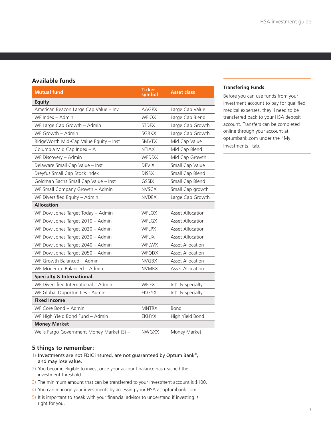# **Available funds**

| <b>Mutual fund</b>                        | <b>Ticker</b><br>symbol | <b>Asset class</b>      |  |  |  |
|-------------------------------------------|-------------------------|-------------------------|--|--|--|
| <b>Equity</b>                             |                         |                         |  |  |  |
| American Beacon Large Cap Value - Inv     | <b>AAGPX</b>            | Large Cap Value         |  |  |  |
| WF Index - Admin                          | <b>WFIOX</b>            | Large Cap Blend         |  |  |  |
| WF Large Cap Growth - Admin               | <b>STDFX</b>            | Large Cap Growth        |  |  |  |
| WF Growth - Admin                         | SGRKX                   | Large Cap Growth        |  |  |  |
| RidgeWorth Mid-Cap Value Equity - Inst    | <b>SMVTX</b>            | Mid Cap Value           |  |  |  |
| Columbia Mid Cap Index - A                | <b>NTIAX</b>            | Mid Cap Blend           |  |  |  |
| WF Discovery - Admin                      | <b>WFDDX</b>            | Mid Cap Growth          |  |  |  |
| Delaware Small Cap Value - Inst           | <b>DEVIX</b>            | Small Cap Value         |  |  |  |
| Dreyfus Small Cap Stock Index             | <b>DISSX</b>            | Small Cap Blend         |  |  |  |
| Goldman Sachs Small Cap Value - Inst      | <b>GSSIX</b>            | Small Cap Blend         |  |  |  |
| WF Small Company Growth - Admin           | <b>NVSCX</b>            | Small Cap growth        |  |  |  |
| WF Diversified Equity - Admin             | <b>NVDEX</b>            | Large Cap Growth        |  |  |  |
| <b>Allocation</b>                         |                         |                         |  |  |  |
| WF Dow Jones Target Today - Admin         | <b>WFLOX</b>            | <b>Asset Allocation</b> |  |  |  |
| WF Dow Jones Target 2010 - Admin          | WFLGX                   | <b>Asset Allocation</b> |  |  |  |
| WF Dow Jones Target 2020 - Admin          | <b>WFLPX</b>            | <b>Asset Allocation</b> |  |  |  |
| WF Dow Jones Target 2030 - Admin          | <b>WFLIX</b>            | <b>Asset Allocation</b> |  |  |  |
| WF Dow Jones Target 2040 - Admin          | <b>WFLWX</b>            | <b>Asset Allocation</b> |  |  |  |
| WF Dow Jones Target 2050 - Admin          | <b>WFQDX</b>            | <b>Asset Allocation</b> |  |  |  |
| WF Growth Balanced - Admin                | <b>NVGBX</b>            | <b>Asset Allocation</b> |  |  |  |
| WF Moderate Balanced - Admin              | <b>NVMBX</b>            | <b>Asset Allocation</b> |  |  |  |
| <b>Specialty &amp; International</b>      |                         |                         |  |  |  |
| WF Diversified International - Admin      | <b>WFIEX</b>            | Int'l & Specialty       |  |  |  |
| WF Global Opportunities - Admin           | <b>EKGYX</b>            | Int'l & Specialty       |  |  |  |
| <b>Fixed Income</b>                       |                         |                         |  |  |  |
| WF Core Bond - Admin                      | <b>MNTRX</b>            | <b>Bond</b>             |  |  |  |
| WF High Yield Bond Fund - Admin           | <b>EKHYX</b>            | High Yield Bond         |  |  |  |
| <b>Money Market</b>                       |                         |                         |  |  |  |
| Wells Fargo Government Money Market (S) - | <b>NWGXX</b>            | Money Market            |  |  |  |

### **Transfering Funds**

Before you can use funds from your investment account to pay for qualified medical expenses, they'll need to be transferred back to your HSA deposit account. Transfers can be completed online through your account at optumbank.com under the "My Investments" tab.

# **5 things to remember:**

- 1) Investments are not FDIC insured, are not guaranteed by Optum Bank®, and may lose value.
- 2) You become eligible to invest once your account balance has reached the investment threshold.
- 3) The minimum amount that can be transferred to your investment account is \$100.
- 4) You can manage your investments by accessing your HSA at optumbank.com.
- 5) It is important to speak with your financial advisor to understand if investing is right for you.